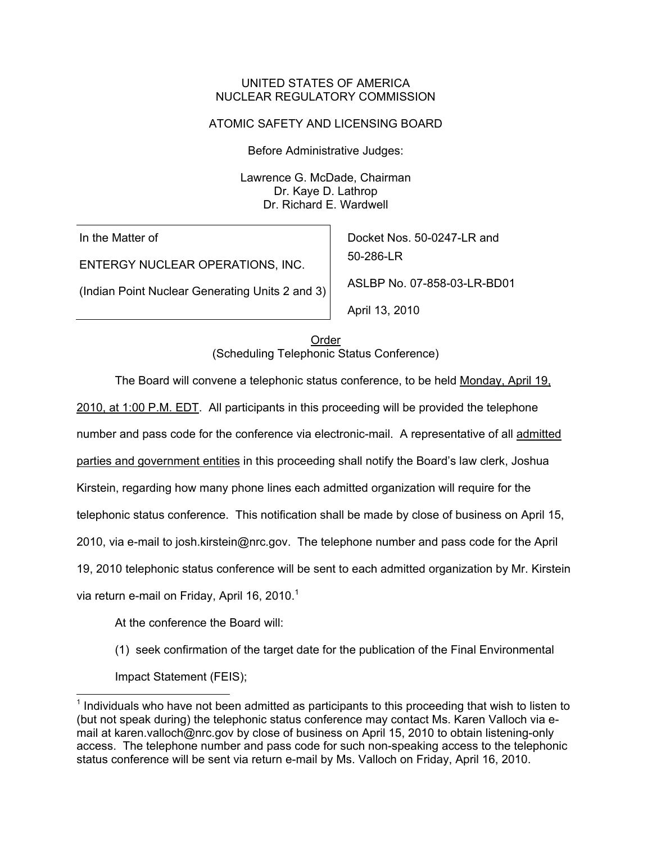## UNITED STATES OF AMERICA NUCLEAR REGULATORY COMMISSION

# ATOMIC SAFETY AND LICENSING BOARD

Before Administrative Judges:

Lawrence G. McDade, Chairman Dr. Kaye D. Lathrop Dr. Richard E. Wardwell

In the Matter of

ENTERGY NUCLEAR OPERATIONS, INC.

(Indian Point Nuclear Generating Units 2 and 3)

Docket Nos. 50-0247-LR and 50-286-LR ASLBP No. 07-858-03-LR-BD01 April 13, 2010

Order (Scheduling Telephonic Status Conference)

The Board will convene a telephonic status conference, to be held Monday, April 19,

2010, at 1:00 P.M. EDT. All participants in this proceeding will be provided the telephone

number and pass code for the conference via electronic-mail. A representative of all admitted

parties and government entities in this proceeding shall notify the Board's law clerk, Joshua

Kirstein, regarding how many phone lines each admitted organization will require for the

telephonic status conference. This notification shall be made by close of business on April 15,

2010, via e-mail to josh.kirstein@nrc.gov. The telephone number and pass code for the April

19, 2010 telephonic status conference will be sent to each admitted organization by Mr. Kirstein

via return e-mail on Friday, April 16, 2010.<sup>1</sup>

 $\overline{\phantom{a}}$ 

At the conference the Board will:

(1) seek confirmation of the target date for the publication of the Final Environmental Impact Statement (FEIS);

 $<sup>1</sup>$  Individuals who have not been admitted as participants to this proceeding that wish to listen to</sup> (but not speak during) the telephonic status conference may contact Ms. Karen Valloch via email at karen.valloch@nrc.gov by close of business on April 15, 2010 to obtain listening-only access. The telephone number and pass code for such non-speaking access to the telephonic status conference will be sent via return e-mail by Ms. Valloch on Friday, April 16, 2010.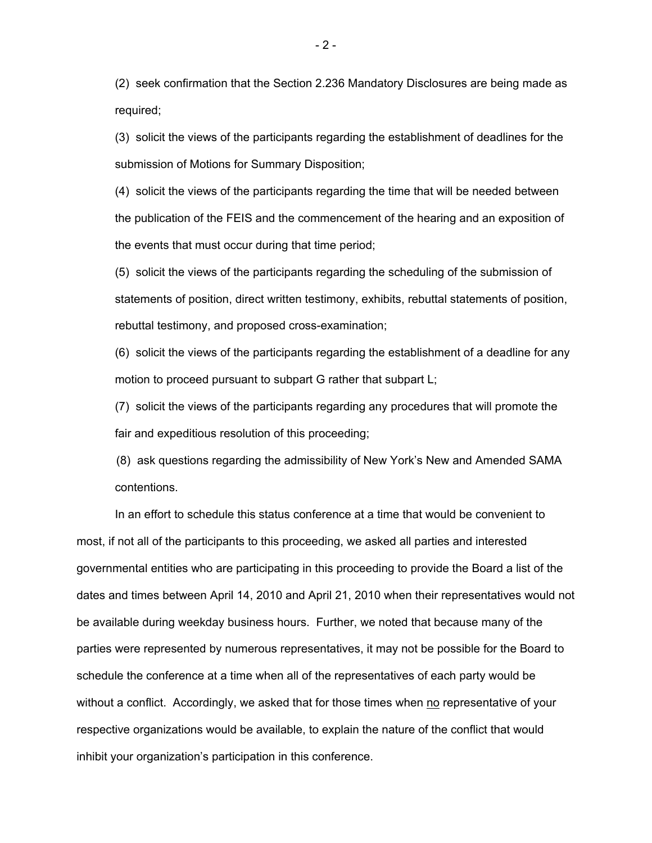(2) seek confirmation that the Section 2.236 Mandatory Disclosures are being made as required;

(3) solicit the views of the participants regarding the establishment of deadlines for the submission of Motions for Summary Disposition;

(4) solicit the views of the participants regarding the time that will be needed between the publication of the FEIS and the commencement of the hearing and an exposition of the events that must occur during that time period;

(5) solicit the views of the participants regarding the scheduling of the submission of statements of position, direct written testimony, exhibits, rebuttal statements of position, rebuttal testimony, and proposed cross-examination;

(6) solicit the views of the participants regarding the establishment of a deadline for any motion to proceed pursuant to subpart G rather that subpart L;

(7) solicit the views of the participants regarding any procedures that will promote the fair and expeditious resolution of this proceeding;

 (8) ask questions regarding the admissibility of New York's New and Amended SAMA contentions.

 In an effort to schedule this status conference at a time that would be convenient to most, if not all of the participants to this proceeding, we asked all parties and interested governmental entities who are participating in this proceeding to provide the Board a list of the dates and times between April 14, 2010 and April 21, 2010 when their representatives would not be available during weekday business hours. Further, we noted that because many of the parties were represented by numerous representatives, it may not be possible for the Board to schedule the conference at a time when all of the representatives of each party would be without a conflict. Accordingly, we asked that for those times when  $no$  representative of your respective organizations would be available, to explain the nature of the conflict that would inhibit your organization's participation in this conference.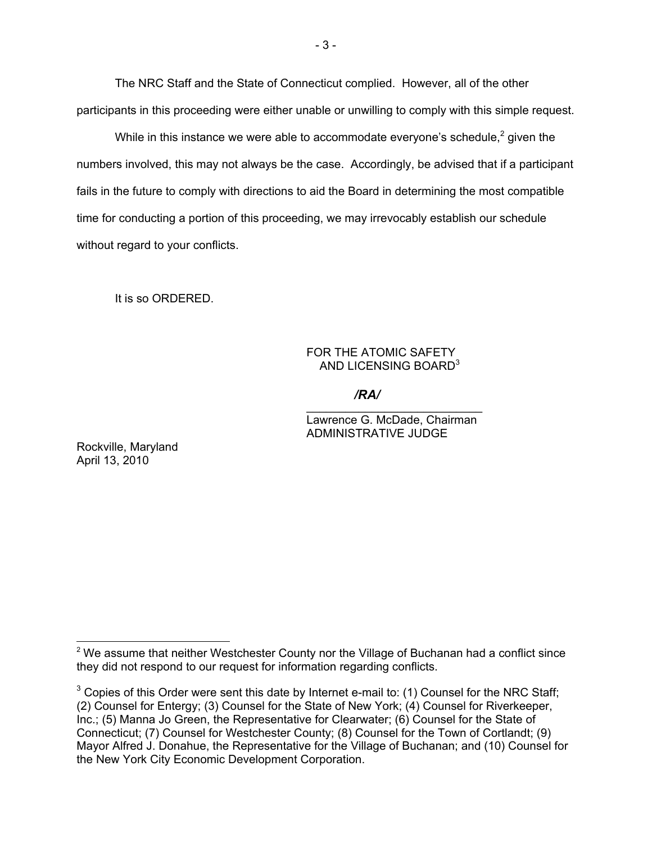The NRC Staff and the State of Connecticut complied. However, all of the other participants in this proceeding were either unable or unwilling to comply with this simple request.

While in this instance we were able to accommodate everyone's schedule,<sup>2</sup> given the numbers involved, this may not always be the case. Accordingly, be advised that if a participant fails in the future to comply with directions to aid the Board in determining the most compatible time for conducting a portion of this proceeding, we may irrevocably establish our schedule without regard to your conflicts.

It is so ORDERED.

## FOR THE ATOMIC SAFETY AND LICENSING BOARD<sup>3</sup>

\_\_\_\_\_\_\_\_\_\_\_\_\_\_\_\_\_\_\_\_\_\_\_\_\_\_\_ */RA/*

Lawrence G. McDade, Chairman ADMINISTRATIVE JUDGE

Rockville, Maryland April 13, 2010

 $\overline{\phantom{a}}$ 

 $2$  We assume that neither Westchester County nor the Village of Buchanan had a conflict since they did not respond to our request for information regarding conflicts.

 $3$  Copies of this Order were sent this date by Internet e-mail to: (1) Counsel for the NRC Staff; (2) Counsel for Entergy; (3) Counsel for the State of New York; (4) Counsel for Riverkeeper, Inc.; (5) Manna Jo Green, the Representative for Clearwater; (6) Counsel for the State of Connecticut; (7) Counsel for Westchester County; (8) Counsel for the Town of Cortlandt; (9) Mayor Alfred J. Donahue, the Representative for the Village of Buchanan; and (10) Counsel for the New York City Economic Development Corporation.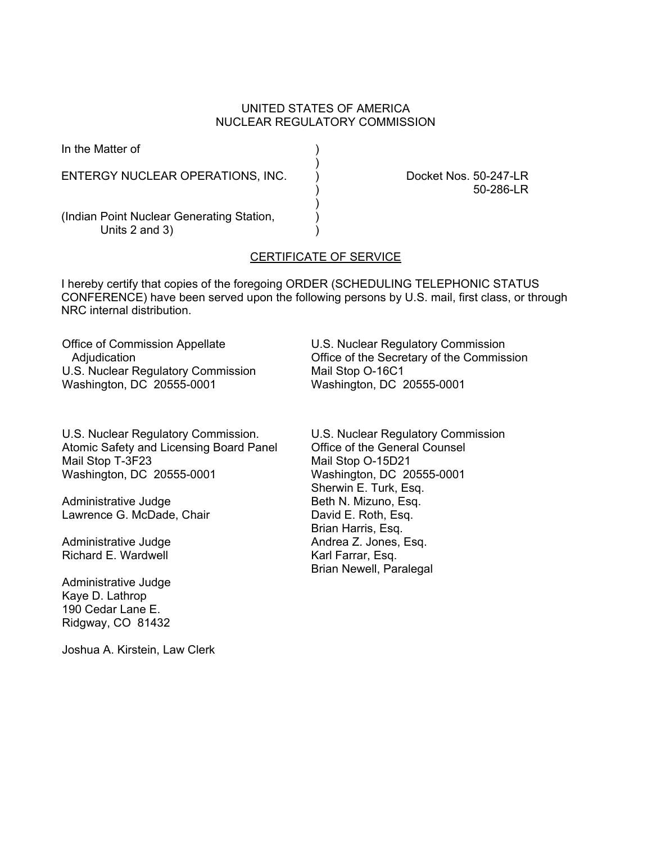# UNITED STATES OF AMERICA NUCLEAR REGULATORY COMMISSION

| In the Matter of                                                |                                    |
|-----------------------------------------------------------------|------------------------------------|
| ENTERGY NUCLEAR OPERATIONS, INC.                                | Docket Nos. 50-247-LR<br>50-286-LR |
| (Indian Point Nuclear Generating Station,<br>Units $2$ and $3)$ |                                    |

# CERTIFICATE OF SERVICE

I hereby certify that copies of the foregoing ORDER (SCHEDULING TELEPHONIC STATUS CONFERENCE) have been served upon the following persons by U.S. mail, first class, or through NRC internal distribution.

Office of Commission Appellate Adjudication U.S. Nuclear Regulatory Commission Washington, DC 20555-0001

U.S. Nuclear Regulatory Commission. Atomic Safety and Licensing Board Panel Mail Stop T-3F23 Washington, DC 20555-0001

Administrative Judge Lawrence G. McDade, Chair

Administrative Judge Richard E. Wardwell

Administrative Judge Kaye D. Lathrop 190 Cedar Lane E. Ridgway, CO 81432

Joshua A. Kirstein, Law Clerk

U.S. Nuclear Regulatory Commission Office of the Secretary of the Commission Mail Stop O-16C1 Washington, DC 20555-0001

U.S. Nuclear Regulatory Commission Office of the General Counsel Mail Stop O-15D21 Washington, DC 20555-0001 Sherwin E. Turk, Esq. Beth N. Mizuno, Esq. David E. Roth, Esq. Brian Harris, Esq. Andrea Z. Jones, Esq. Karl Farrar, Esq. Brian Newell, Paralegal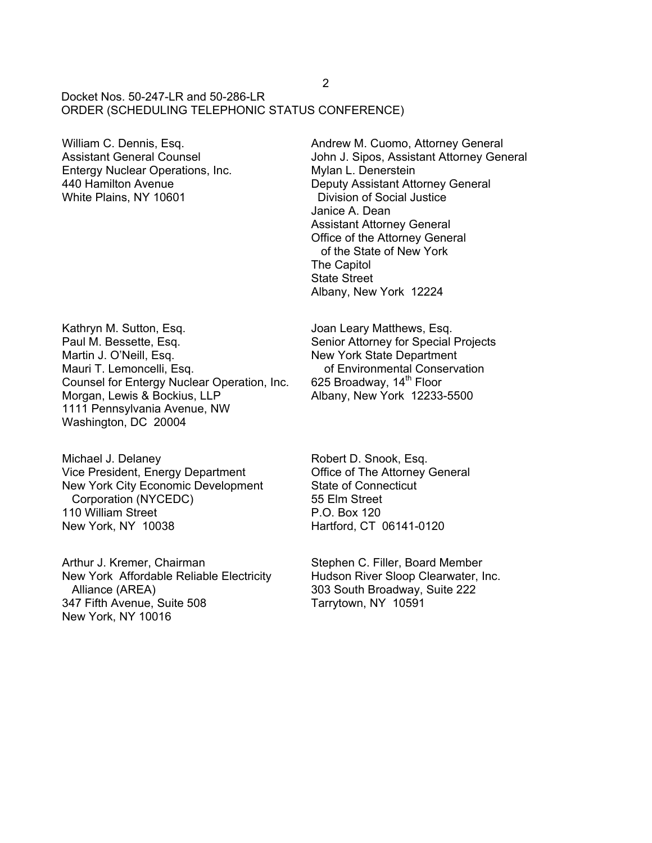## Docket Nos. 50-247-LR and 50-286-LR ORDER (SCHEDULING TELEPHONIC STATUS CONFERENCE)

William C. Dennis, Esq. Assistant General Counsel Entergy Nuclear Operations, Inc. 440 Hamilton Avenue White Plains, NY 10601

Kathryn M. Sutton, Esq. Paul M. Bessette, Esq. Martin J. O'Neill, Esq. Mauri T. Lemoncelli, Esq. Counsel for Entergy Nuclear Operation, Inc. Morgan, Lewis & Bockius, LLP 1111 Pennsylvania Avenue, NW Washington, DC 20004

Michael J. Delaney Vice President, Energy Department New York City Economic Development Corporation (NYCEDC) 110 William Street New York, NY 10038

Arthur J. Kremer, Chairman New York Affordable Reliable Electricity Alliance (AREA) 347 Fifth Avenue, Suite 508 New York, NY 10016

Andrew M. Cuomo, Attorney General John J. Sipos, Assistant Attorney General Mylan L. Denerstein Deputy Assistant Attorney General Division of Social Justice Janice A. Dean Assistant Attorney General Office of the Attorney General of the State of New York The Capitol State Street Albany, New York 12224

Joan Leary Matthews, Esq. Senior Attorney for Special Projects New York State Department of Environmental Conservation 625 Broadway, 14<sup>th</sup> Floor Albany, New York 12233-5500

Robert D. Snook, Esq. Office of The Attorney General State of Connecticut 55 Elm Street P.O. Box 120 Hartford, CT 06141-0120

Stephen C. Filler, Board Member Hudson River Sloop Clearwater, Inc. 303 South Broadway, Suite 222 Tarrytown, NY 10591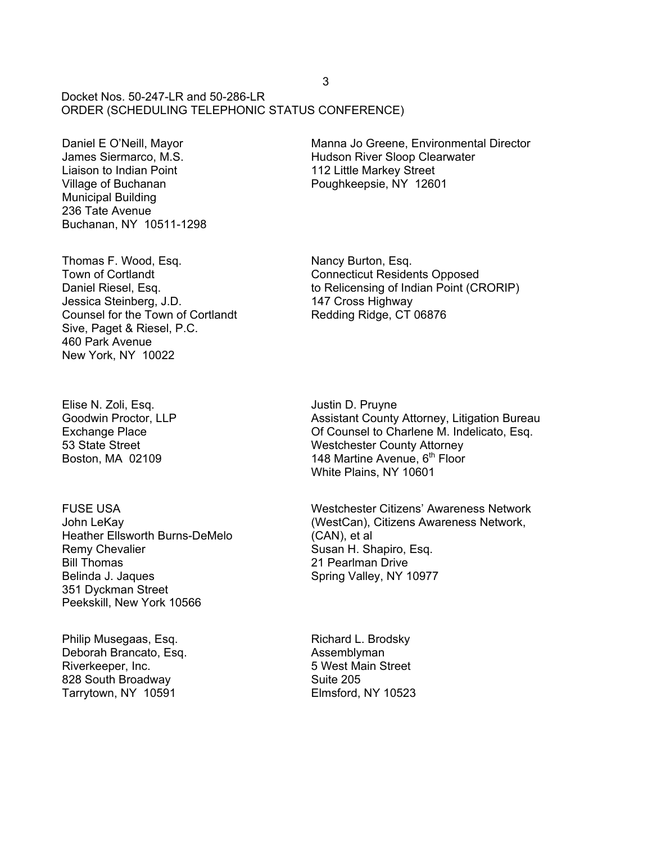Docket Nos.  $50-247-1$  R and  $50-286-1$  R ORDER (SCHEDULING TELEPHONIC STATUS CONFERENCE)

Daniel E O'Neill, Mayor James Siermarco, M.S. Liaison to Indian Point Village of Buchanan Municipal Building 236 Tate Avenue Buchanan, NY 10511-1298 Manna Jo Greene, Environmental Director Hudson River Sloop Clearwater 112 Little Markey Street Poughkeepsie, NY 12601

Thomas F. Wood, Esq. Town of Cortlandt Daniel Riesel, Esq. Jessica Steinberg, J.D. Counsel for the Town of Cortlandt Sive, Paget & Riesel, P.C. 460 Park Avenue New York, NY 10022

Nancy Burton, Esq. Connecticut Residents Opposed to Relicensing of Indian Point (CRORIP) 147 Cross Highway Redding Ridge, CT 06876

Elise N. Zoli, Esq. Goodwin Proctor, LLP Exchange Place 53 State Street Boston, MA 02109

FUSE USA John LeKay Heather Ellsworth Burns-DeMelo Remy Chevalier Bill Thomas Belinda J. Jaques 351 Dyckman Street Peekskill, New York 10566

Philip Musegaas, Esq. Deborah Brancato, Esq. Riverkeeper, Inc. 828 South Broadway Tarrytown, NY 10591

Justin D. Pruyne Assistant County Attorney, Litigation Bureau Of Counsel to Charlene M. Indelicato, Esq. Westchester County Attorney 148 Martine Avenue, 6<sup>th</sup> Floor White Plains, NY 10601

Westchester Citizens' Awareness Network (WestCan), Citizens Awareness Network, (CAN), et al Susan H. Shapiro, Esq. 21 Pearlman Drive Spring Valley, NY 10977

Richard L. Brodsky Assemblyman 5 West Main Street Suite 205 Elmsford, NY 10523